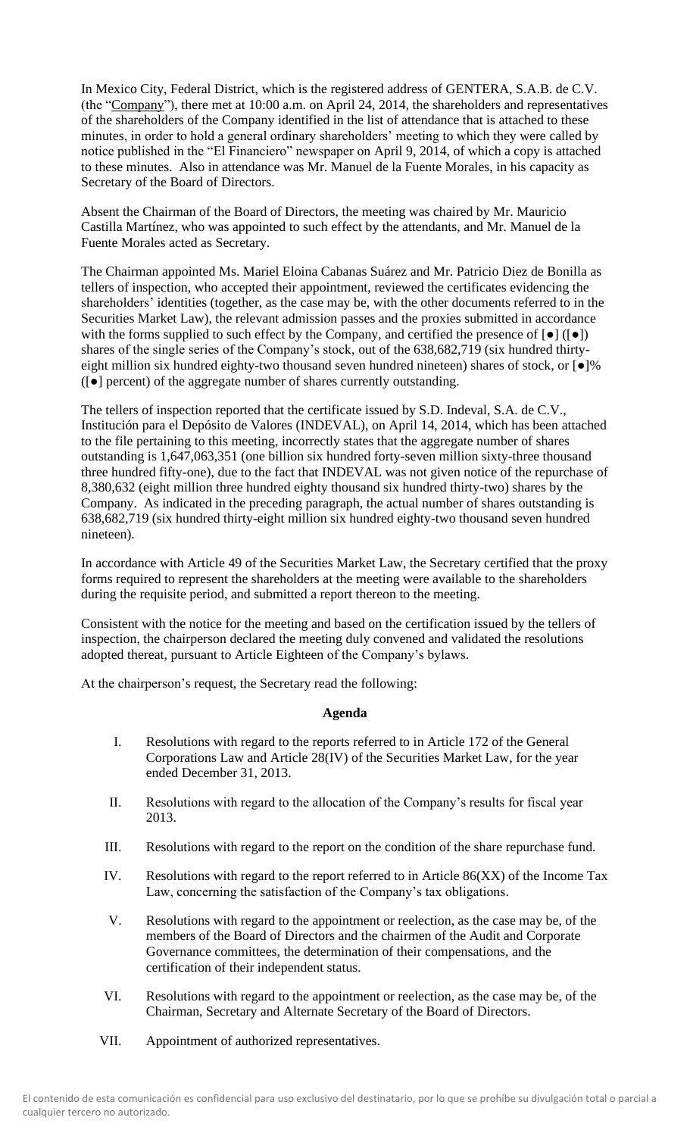In Mexico City, Federal District, which is the registered address of GENTERA, S.A.B. de C.V. (the "Company"), there met at 10:00 a.m. on April 24, 2014, the shareholders and representatives of the shareholders of the Company identified in the list of attendance that is attached to these minutes, in order to hold a general ordinary shareholders' meeting to which they were called by notice published in the "El Financiero" newspaper on April 9, 2014, of which a copy is attached to these minutes. Also in attendance was Mr. Manuel de la Fuente Morales, in his capacity as Secretary of the Board of Directors.

Absent the Chairman of the Board of Directors, the meeting was chaired by Mr. Mauricio Castilla Martínez, who was appointed to such effect by the attendants, and Mr. Manuel de la Fuente Morales acted as Secretary.

The Chairman appointed Ms. Mariel Eloina Cabanas Suárez and Mr. Patricio Diez de Bonilla as tellers of inspection, who accepted their appointment, reviewed the certificates evidencing the shareholders' identities (together, as the case may be, with the other documents referred to in the Securities Market Law), the relevant admission passes and the proxies submitted in accordance with the forms supplied to such effect by the Company, and certified the presence of  $[\bullet]$  ( $[\bullet]$ ) shares of the single series of the Company's stock, out of the 638,682,719 (six hundred thirtyeight million six hundred eighty-two thousand seven hundred nineteen) shares of stock, or [●]% ([●] percent) of the aggregate number of shares currently outstanding.

The tellers of inspection reported that the certificate issued by S.D. Indeval, S.A. de C.V., Institución para el Depósito de Valores (INDEVAL), on April 14, 2014, which has been attached to the file pertaining to this meeting, incorrectly states that the aggregate number of shares outstanding is 1,647,063,351 (one billion six hundred forty-seven million sixty-three thousand three hundred fifty-one), due to the fact that INDEVAL was not given notice of the repurchase of 8,380,632 (eight million three hundred eighty thousand six hundred thirty-two) shares by the Company. As indicated in the preceding paragraph, the actual number of shares outstanding is 638,682,719 (six hundred thirty-eight million six hundred eighty-two thousand seven hundred nineteen).

In accordance with Article 49 of the Securities Market Law, the Secretary certified that the proxy forms required to represent the shareholders at the meeting were available to the shareholders during the requisite period, and submitted a report thereon to the meeting.

Consistent with the notice for the meeting and based on the certification issued by the tellers of inspection, the chairperson declared the meeting duly convened and validated the resolutions adopted thereat, pursuant to Article Eighteen of the Company's bylaws.

At the chairperson's request, the Secretary read the following:

# **Agenda**

- I. Resolutions with regard to the reports referred to in Article 172 of the General Corporations Law and Article 28(IV) of the Securities Market Law, for the year ended December 31, 2013.
- II. Resolutions with regard to the allocation of the Company's results for fiscal year 2013.
- III. Resolutions with regard to the report on the condition of the share repurchase fund.
- IV. Resolutions with regard to the report referred to in Article 86(XX) of the Income Tax Law, concerning the satisfaction of the Company's tax obligations.
- V. Resolutions with regard to the appointment or reelection, as the case may be, of the members of the Board of Directors and the chairmen of the Audit and Corporate Governance committees, the determination of their compensations, and the certification of their independent status.
- VI. Resolutions with regard to the appointment or reelection, as the case may be, of the Chairman, Secretary and Alternate Secretary of the Board of Directors.
- VII. Appointment of authorized representatives.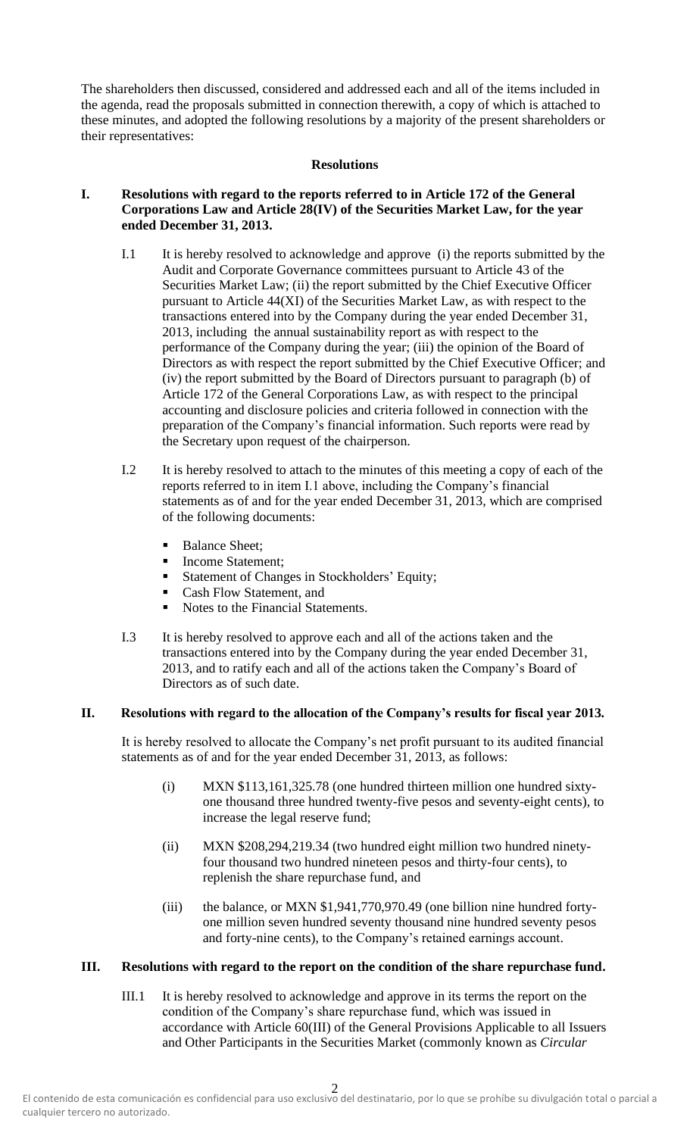The shareholders then discussed, considered and addressed each and all of the items included in the agenda, read the proposals submitted in connection therewith, a copy of which is attached to these minutes, and adopted the following resolutions by a majority of the present shareholders or their representatives:

#### **Resolutions**

## **I. Resolutions with regard to the reports referred to in Article 172 of the General Corporations Law and Article 28(IV) of the Securities Market Law, for the year ended December 31, 2013.**

- I.1 It is hereby resolved to acknowledge and approve (i) the reports submitted by the Audit and Corporate Governance committees pursuant to Article 43 of the Securities Market Law; (ii) the report submitted by the Chief Executive Officer pursuant to Article 44(XI) of the Securities Market Law, as with respect to the transactions entered into by the Company during the year ended December 31, 2013, including the annual sustainability report as with respect to the performance of the Company during the year; (iii) the opinion of the Board of Directors as with respect the report submitted by the Chief Executive Officer; and (iv) the report submitted by the Board of Directors pursuant to paragraph (b) of Article 172 of the General Corporations Law, as with respect to the principal accounting and disclosure policies and criteria followed in connection with the preparation of the Company's financial information. Such reports were read by the Secretary upon request of the chairperson.
- I.2 It is hereby resolved to attach to the minutes of this meeting a copy of each of the reports referred to in item I.1 above, including the Company's financial statements as of and for the year ended December 31, 2013, which are comprised of the following documents:
	- **Balance Sheet:**
	- Income Statement:
	- **EXECUTE:** Statement of Changes in Stockholders' Equity;
	- Cash Flow Statement, and
	- Notes to the Financial Statements.
- I.3 It is hereby resolved to approve each and all of the actions taken and the transactions entered into by the Company during the year ended December 31, 2013, and to ratify each and all of the actions taken the Company's Board of Directors as of such date.

## **II. Resolutions with regard to the allocation of the Company's results for fiscal year 2013.**

It is hereby resolved to allocate the Company's net profit pursuant to its audited financial statements as of and for the year ended December 31, 2013, as follows:

- (i) MXN \$113,161,325.78 (one hundred thirteen million one hundred sixtyone thousand three hundred twenty-five pesos and seventy-eight cents), to increase the legal reserve fund;
- (ii) MXN \$208,294,219.34 (two hundred eight million two hundred ninetyfour thousand two hundred nineteen pesos and thirty-four cents), to replenish the share repurchase fund, and
- (iii) the balance, or MXN \$1,941,770,970.49 (one billion nine hundred fortyone million seven hundred seventy thousand nine hundred seventy pesos and forty-nine cents), to the Company's retained earnings account.

### **III. Resolutions with regard to the report on the condition of the share repurchase fund.**

III.1 It is hereby resolved to acknowledge and approve in its terms the report on the condition of the Company's share repurchase fund, which was issued in accordance with Article 60(III) of the General Provisions Applicable to all Issuers and Other Participants in the Securities Market (commonly known as *Circular*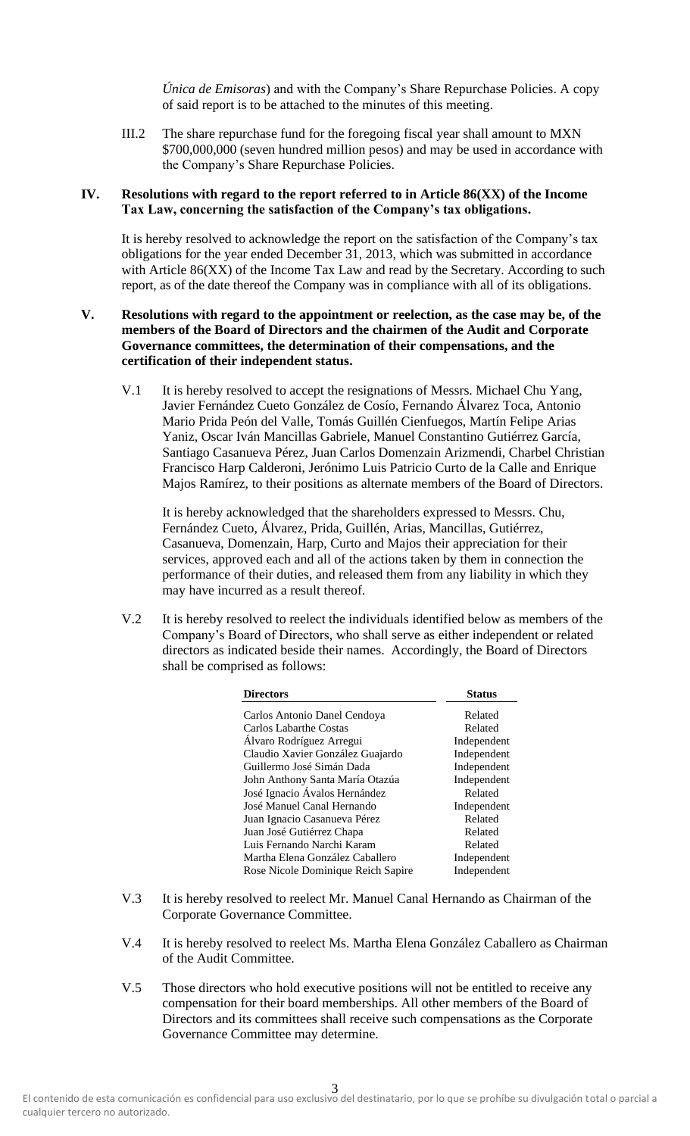*Única de Emisoras*) and with the Company's Share Repurchase Policies. A copy of said report is to be attached to the minutes of this meeting.

III.2 The share repurchase fund for the foregoing fiscal year shall amount to MXN \$700,000,000 (seven hundred million pesos) and may be used in accordance with the Company's Share Repurchase Policies.

### **IV. Resolutions with regard to the report referred to in Article 86(XX) of the Income Tax Law, concerning the satisfaction of the Company's tax obligations.**

It is hereby resolved to acknowledge the report on the satisfaction of the Company's tax obligations for the year ended December 31, 2013, which was submitted in accordance with Article 86(XX) of the Income Tax Law and read by the Secretary. According to such report, as of the date thereof the Company was in compliance with all of its obligations.

### **V. Resolutions with regard to the appointment or reelection, as the case may be, of the members of the Board of Directors and the chairmen of the Audit and Corporate Governance committees, the determination of their compensations, and the certification of their independent status.**

V.1 It is hereby resolved to accept the resignations of Messrs. Michael Chu Yang, Javier Fernández Cueto González de Cosío, Fernando Álvarez Toca, Antonio Mario Prida Peón del Valle, Tomás Guillén Cienfuegos, Martín Felipe Arias Yaniz, Oscar Iván Mancillas Gabriele, Manuel Constantino Gutiérrez García, Santiago Casanueva Pérez, Juan Carlos Domenzain Arizmendi, Charbel Christian Francisco Harp Calderoni, Jerónimo Luis Patricio Curto de la Calle and Enrique Majos Ramírez, to their positions as alternate members of the Board of Directors.

It is hereby acknowledged that the shareholders expressed to Messrs. Chu, Fernández Cueto, Álvarez, Prida, Guillén, Arias, Mancillas, Gutiérrez, Casanueva, Domenzain, Harp, Curto and Majos their appreciation for their services, approved each and all of the actions taken by them in connection the performance of their duties, and released them from any liability in which they may have incurred as a result thereof.

V.2 It is hereby resolved to reelect the individuals identified below as members of the Company's Board of Directors, who shall serve as either independent or related directors as indicated beside their names. Accordingly, the Board of Directors shall be comprised as follows:

| <b>Directors</b>                   | <b>Status</b> |
|------------------------------------|---------------|
| Carlos Antonio Danel Cendoya       | Related       |
| Carlos Labarthe Costas             | Related       |
| Álvaro Rodríguez Arregui           | Independent   |
| Claudio Xavier González Guajardo   | Independent   |
| Guillermo José Simán Dada          | Independent   |
| John Anthony Santa María Otazúa    | Independent   |
| José Ignacio Ávalos Hernández      | Related       |
| José Manuel Canal Hernando         | Independent   |
| Juan Ignacio Casanueva Pérez       | Related       |
| Juan José Gutiérrez Chapa          | Related       |
| Luis Fernando Narchi Karam         | Related       |
| Martha Elena González Caballero    | Independent   |
| Rose Nicole Dominique Reich Sapire | Independent   |

- V.3 It is hereby resolved to reelect Mr. Manuel Canal Hernando as Chairman of the Corporate Governance Committee.
- V.4 It is hereby resolved to reelect Ms. Martha Elena González Caballero as Chairman of the Audit Committee.
- V.5 Those directors who hold executive positions will not be entitled to receive any compensation for their board memberships. All other members of the Board of Directors and its committees shall receive such compensations as the Corporate Governance Committee may determine.